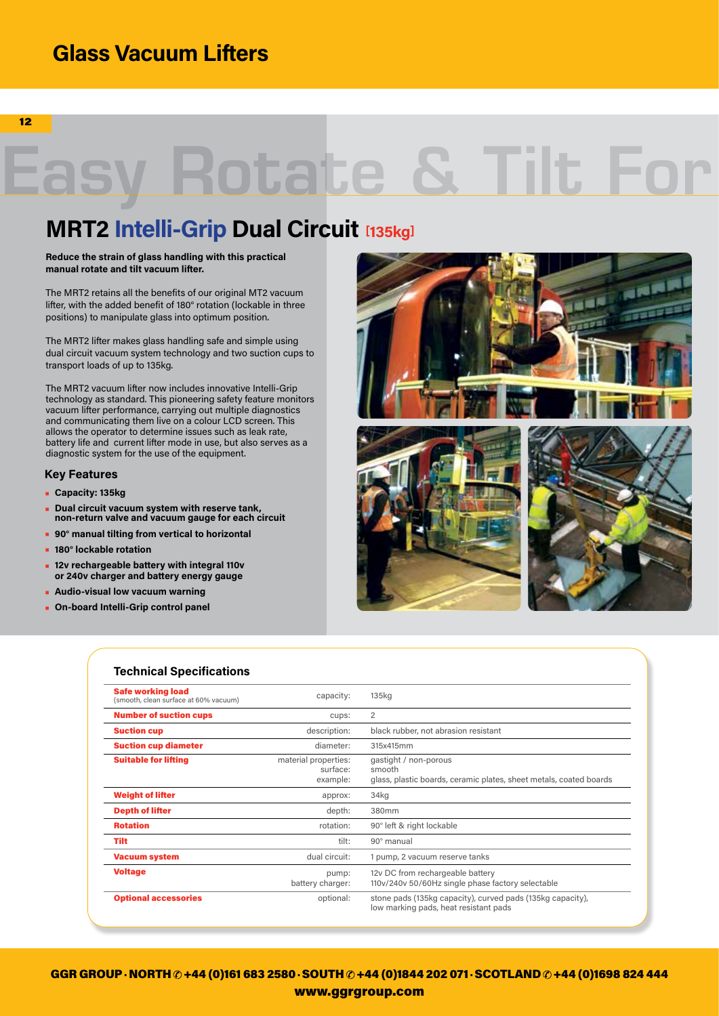## **Glass Vacuum Lifters**

12

# **Rotate**

## **MRT2 Intelli-Grip Dual Circuit [135kg]**

#### **Reduce the strain of glass handling with this practical manual rotate and tilt vacuum lifter.**

The MRT2 retains all the benefits of our original MT2 vacuum lifter, with the added benefit of 180° rotation (lockable in three positions) to manipulate glass into optimum position.

The MRT2 lifter makes glass handling safe and simple using dual circuit vacuum system technology and two suction cups to transport loads of up to 135kg.

The MRT2 vacuum lifter now includes innovative Intelli-Grip technology as standard. This pioneering safety feature monitors vacuum lifter performance, carrying out multiple diagnostics and communicating them live on a colour LCD screen. This allows the operator to determine issues such as leak rate, battery life and current lifter mode in use, but also serves as a diagnostic system for the use of the equipment.

### **Key Features**

- **• Capacity: 135kg**
- **• Dual circuit vacuum system with reserve tank, non-return valve and vacuum gauge for each circuit**
- **• 90° manual tilting from vertical to horizontal**
- **• 180° lockable rotation**
- **• 12v rechargeable battery with integral 110v or 240v charger and battery energy gauge**
- **• Audio-visual low vacuum warning**
- **• On-board Intelli-Grip control panel**



| <b>Technical Specifications</b>                                   |                                              |                                                                                                       |
|-------------------------------------------------------------------|----------------------------------------------|-------------------------------------------------------------------------------------------------------|
| <b>Safe working load</b><br>(smooth, clean surface at 60% vacuum) | capacity:                                    | 135kg                                                                                                 |
| <b>Number of suction cups</b>                                     | cups:                                        | 2                                                                                                     |
| <b>Suction cup</b>                                                | description:                                 | black rubber, not abrasion resistant                                                                  |
| <b>Suction cup diameter</b>                                       | diameter:                                    | 315x415mm                                                                                             |
| <b>Suitable for lifting</b>                                       | material properties:<br>surface:<br>example: | gastight / non-porous<br>smooth<br>glass, plastic boards, ceramic plates, sheet metals, coated boards |
| <b>Weight of lifter</b>                                           | approx:                                      | 34kg                                                                                                  |
| <b>Depth of lifter</b>                                            | depth:                                       | 380mm                                                                                                 |
| <b>Rotation</b>                                                   | rotation:                                    | 90° left & right lockable                                                                             |
| Tilt                                                              | tilt:                                        | 90° manual                                                                                            |
| <b>Vacuum system</b>                                              | dual circuit:                                | 1 pump, 2 vacuum reserve tanks                                                                        |
| <b>Voltage</b>                                                    | pump:<br>battery charger:                    | 12y DC from rechargeable battery<br>110v/240v 50/60Hz single phase factory selectable                 |
| <b>Optional accessories</b>                                       | optional:                                    | stone pads (135kg capacity), curved pads (135kg capacity),<br>low marking pads, heat resistant pads   |

GGR GROUP · NORTH  $\odot$  +44 (0)161 683 2580 · SOUTH  $\odot$  +44 (0)1844 202 071 · SCOTLAND  $\odot$  +44 (0)1698 824 444 www.ggrgroup.com www.ggrgroup.com